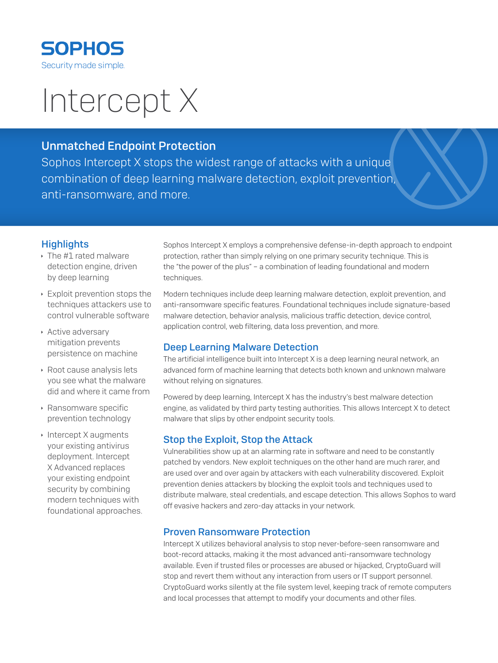

# Intercept X

# Unmatched Endpoint Protection

Sophos Intercept X stops the widest range of attacks with a unique combination of deep learning malware detection, exploit prevention, anti-ransomware, and more.

# **Highlights**

- $\cdot$  The #1 rated malware detection engine, driven by deep learning
- $\cdot$  Exploit prevention stops the techniques attackers use to control vulnerable software
- **Active adversary** mitigation prevents persistence on machine
- **Root cause analysis lets** you see what the malware did and where it came from
- **Ransomware specific** prevention technology
- $\cdot$  Intercept X augments your existing antivirus deployment. Intercept X Advanced replaces your existing endpoint security by combining modern techniques with foundational approaches.

Sophos Intercept X employs a comprehensive defense-in-depth approach to endpoint protection, rather than simply relying on one primary security technique. This is the "the power of the plus" – a combination of leading foundational and modern techniques.

Modern techniques include deep learning malware detection, exploit prevention, and anti-ransomware specific features. Foundational techniques include signature-based malware detection, behavior analysis, malicious traffic detection, device control, application control, web filtering, data loss prevention, and more.

## Deep Learning Malware Detection

The artificial intelligence built into Intercept X is a deep learning neural network, an advanced form of machine learning that detects both known and unknown malware without relying on signatures.

Powered by deep learning, Intercept X has the industry's best malware detection engine, as validated by third party testing authorities. This allows Intercept X to detect malware that slips by other endpoint security tools.

## Stop the Exploit, Stop the Attack

Vulnerabilities show up at an alarming rate in software and need to be constantly patched by vendors. New exploit techniques on the other hand are much rarer, and are used over and over again by attackers with each vulnerability discovered. Exploit prevention denies attackers by blocking the exploit tools and techniques used to distribute malware, steal credentials, and escape detection. This allows Sophos to ward off evasive hackers and zero-day attacks in your network.

#### Proven Ransomware Protection

Intercept X utilizes behavioral analysis to stop never-before-seen ransomware and boot-record attacks, making it the most advanced anti-ransomware technology available. Even if trusted files or processes are abused or hijacked, CryptoGuard will stop and revert them without any interaction from users or IT support personnel. CryptoGuard works silently at the file system level, keeping track of remote computers and local processes that attempt to modify your documents and other files.